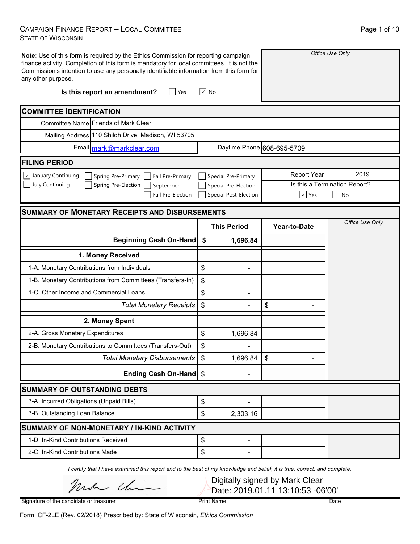#### CAMPAIGN FINANCE REPORT – LOCAL COMMITTEE STATE OF WISCONSIN

| Note: Use of this form is required by the Ethics Commission for reporting campaign<br>finance activity. Completion of this form is mandatory for local committees. It is not the<br>Commission's intention to use any personally identifiable information from this form for<br>any other purpose.<br>Is this report an amendment?<br>Yes | $\sqrt{ }$ No         |                            | Office Use Only               |
|-------------------------------------------------------------------------------------------------------------------------------------------------------------------------------------------------------------------------------------------------------------------------------------------------------------------------------------------|-----------------------|----------------------------|-------------------------------|
| <b>COMMITTEE IDENTIFICATION</b>                                                                                                                                                                                                                                                                                                           |                       |                            |                               |
| Committee Name Friends of Mark Clear                                                                                                                                                                                                                                                                                                      |                       |                            |                               |
| Mailing Address 110 Shiloh Drive, Madison, WI 53705                                                                                                                                                                                                                                                                                       |                       |                            |                               |
| Email mark@markclear.com                                                                                                                                                                                                                                                                                                                  |                       | Daytime Phone 608-695-5709 |                               |
| <b>FILING PERIOD</b>                                                                                                                                                                                                                                                                                                                      |                       |                            |                               |
| $\vee$ January Continuing<br>Spring Pre-Primary   Fall Pre-Primary                                                                                                                                                                                                                                                                        | Special Pre-Primary   | <b>Report Year</b>         | 2019                          |
| July Continuing<br>Spring Pre-Election<br>September                                                                                                                                                                                                                                                                                       | Special Pre-Election  |                            | Is this a Termination Report? |
| Fall Pre-Election                                                                                                                                                                                                                                                                                                                         | Special Post-Election | $\sqrt{ }$ Yes             | No                            |
| <b>SUMMARY OF MONETARY RECEIPTS AND DISBURSEMENTS</b>                                                                                                                                                                                                                                                                                     |                       |                            |                               |
|                                                                                                                                                                                                                                                                                                                                           | <b>This Period</b>    | Year-to-Date               | Office Use Only               |
| <b>Beginning Cash On-Hand</b>                                                                                                                                                                                                                                                                                                             | \$<br>1,696.84        |                            |                               |
| 1. Money Received                                                                                                                                                                                                                                                                                                                         |                       |                            |                               |
| 1-A. Monetary Contributions from Individuals                                                                                                                                                                                                                                                                                              | \$                    |                            |                               |
| 1-B. Monetary Contributions from Committees (Transfers-In)                                                                                                                                                                                                                                                                                | \$                    |                            |                               |
| 1-C. Other Income and Commercial Loans                                                                                                                                                                                                                                                                                                    | \$                    |                            |                               |
| <b>Total Monetary Receipts</b>                                                                                                                                                                                                                                                                                                            | \$                    | \$                         |                               |
| 2. Money Spent                                                                                                                                                                                                                                                                                                                            |                       |                            |                               |
| 2-A. Gross Monetary Expenditures                                                                                                                                                                                                                                                                                                          | \$<br>1,696.84        |                            |                               |
| 2-B. Monetary Contributions to Committees (Transfers-Out)                                                                                                                                                                                                                                                                                 | \$                    |                            |                               |
| Total Monetary Disbursements   \$                                                                                                                                                                                                                                                                                                         | 1,696.84              | $\frac{1}{2}$              |                               |
| Ending Cash On-Hand \$                                                                                                                                                                                                                                                                                                                    |                       |                            |                               |
| <b>SUMMARY OF OUTSTANDING DEBTS</b>                                                                                                                                                                                                                                                                                                       |                       |                            |                               |
| 3-A. Incurred Obligations (Unpaid Bills)                                                                                                                                                                                                                                                                                                  | \$                    |                            |                               |
| 3-B. Outstanding Loan Balance                                                                                                                                                                                                                                                                                                             | \$<br>2,303.16        |                            |                               |
| <b>SUMMARY OF NON-MONETARY / IN-KIND ACTIVITY</b>                                                                                                                                                                                                                                                                                         |                       |                            |                               |
| 1-D. In-Kind Contributions Received                                                                                                                                                                                                                                                                                                       | \$<br>Ξ.              |                            |                               |
| 2-C. In-Kind Contributions Made                                                                                                                                                                                                                                                                                                           | \$                    |                            |                               |

*I certify that I have examined this report and to the best of my knowledge and belief, it is true, correct, and complete.*

mich cha

Digitally signed by Mark Clear Date: 2019.01.11 13:10:53 -06'00'

Signature of the candidate or treasurer

Print Name Date

Form: CF-2LE (Rev. 02/2018) Prescribed by: State of Wisconsin, *Ethics Commission*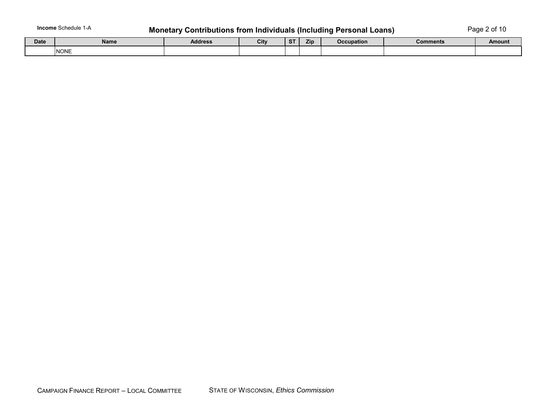**Income** Schedule 1-A

# **Monetary Contributions from Individuals (Including Personal Loans)** Page 2 of 10

| <b>Date</b> | Name | <b>Address</b> | City | $\sim$ $\sim$<br>$\mathbf{\sigma}$ | Zip | <b>Occupation</b> | <b>Comments</b> | Amount |
|-------------|------|----------------|------|------------------------------------|-----|-------------------|-----------------|--------|
|             | NONE |                |      |                                    |     |                   |                 |        |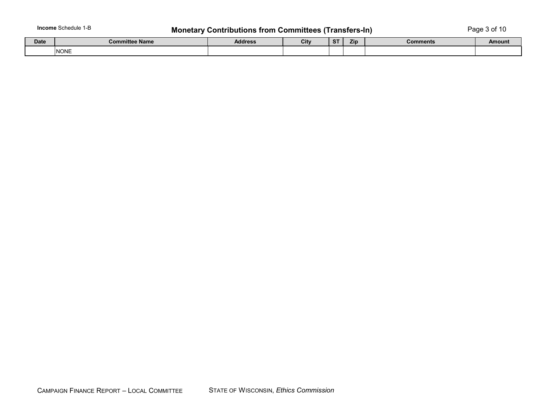# **Monetary Contributions from Committees (Transfers-In)** Page 3 of 10

| Date | <b>Committee Name</b> | <b>Address</b> | City | -ST | Zip | <b>Comments</b><br>_______ | Amount |
|------|-----------------------|----------------|------|-----|-----|----------------------------|--------|
|      | <b>NONE</b>           |                |      |     |     |                            |        |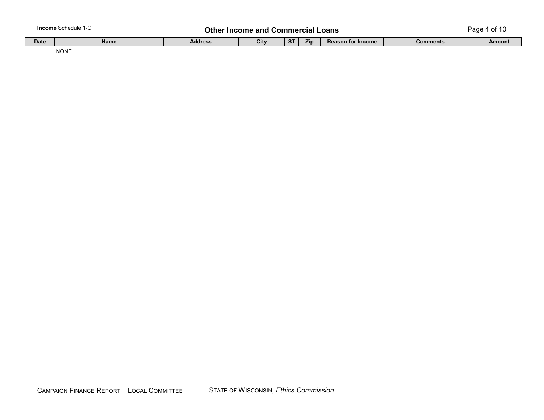|  | <b>Income Schedule 1-C</b> |  |
|--|----------------------------|--|
|--|----------------------------|--|

### **Other Income and Commercial Loans**

Page 4 of 10

| Date | Name             | <b>Address</b> | Citv | $\sim$ $\tau$<br>. . | 7it. | <b>Reason for I</b><br>* Income | <b>Comments</b> | <b>Amount</b> |
|------|------------------|----------------|------|----------------------|------|---------------------------------|-----------------|---------------|
|      | <b>NONE</b><br>. |                |      |                      |      |                                 |                 |               |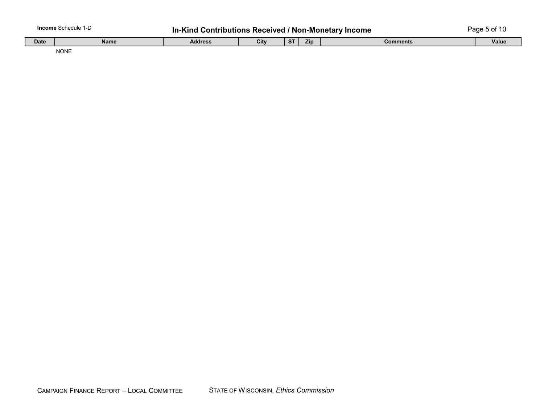|             | lncome Schedule<br>. | <b>Contributions Received / Non-Monetary</b><br>In-Kind                | <sup>,</sup> Income | . 5 of<br>مممر |  |  |  |
|-------------|----------------------|------------------------------------------------------------------------|---------------------|----------------|--|--|--|
| <b>Date</b> | Name                 | Zip<br>City<br><b>CT</b><br><b>Address</b><br><b>Comments</b><br>. J I |                     |                |  |  |  |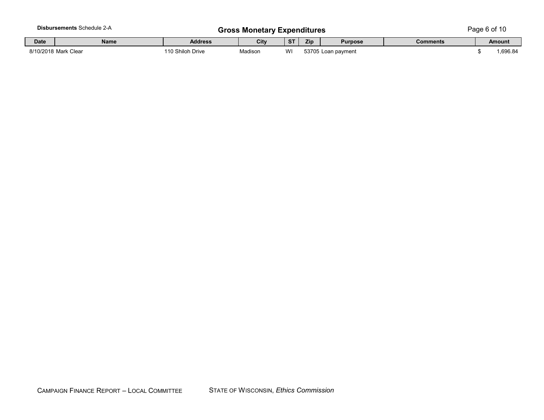|             | Disbursements Schedule 2-A |                  | <b>Gross Monetary Expenditures</b> |           |     |                    |          | Page 6 of 10 |
|-------------|----------------------------|------------------|------------------------------------|-----------|-----|--------------------|----------|--------------|
| <b>Date</b> | Name                       | <b>Address</b>   | City                               | <b>ST</b> | Zip | <b>Purpose</b>     | Comments | Amount       |
|             | 8/10/2018 Mark Clear       | 110 Shiloh Drive | Madisor                            | WI        |     | 53705 Loan payment |          | .696.84      |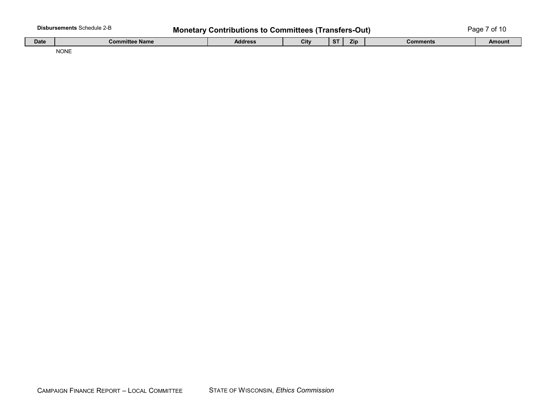| . Schedule 1<br>'sements<br>Disburs<br>7-P<br>.<br>⊃aɑe<br>Out.<br>Contributions to Committees (Transfers-<br>Monetary <b>1</b> |  |   |  |  |  |      | w   | 11       |  |  |  |  |  |  |  |
|---------------------------------------------------------------------------------------------------------------------------------|--|---|--|--|--|------|-----|----------|--|--|--|--|--|--|--|
|                                                                                                                                 |  | . |  |  |  | $-1$ | $-$ | <u>—</u> |  |  |  |  |  |  |  |

| <b>Date</b> | <b>Committee Name</b> | Address | City | $\sim$ | Zin | Comments | Amount |
|-------------|-----------------------|---------|------|--------|-----|----------|--------|
|             | <b>NONE</b>           |         |      |        |     |          |        |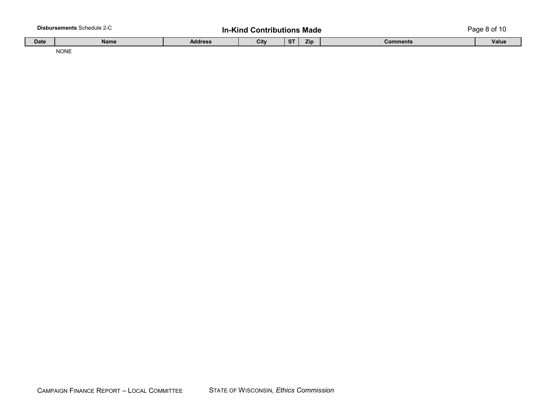| <b>Disbursements Schedule 2-C</b> |             |                | .<br><b>Contributions Made</b><br>-Kind |       |     |          | ' cade : |
|-----------------------------------|-------------|----------------|-----------------------------------------|-------|-----|----------|----------|
| <b>Date</b>                       | <b>Name</b> | <b>Address</b> | City                                    | $C$ T | Zip | Comments | Value    |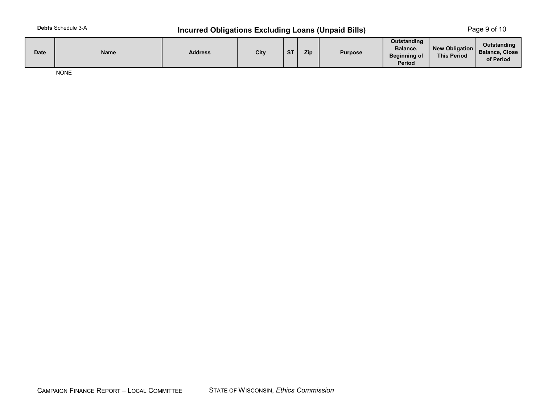### **Incurred Obligations Excluding Loans (Unpaid Bills)** Page 9 of 10

| <b>Date</b> | Name | Address | City | <b>ST</b> | Zip | <b>Purpose</b> | Outstanding<br>Balance,<br><b>Beginning of</b><br>Period | New Obligation<br><b>This Period</b> | Outstanding<br>Balance, Close<br>of Period |
|-------------|------|---------|------|-----------|-----|----------------|----------------------------------------------------------|--------------------------------------|--------------------------------------------|
|-------------|------|---------|------|-----------|-----|----------------|----------------------------------------------------------|--------------------------------------|--------------------------------------------|